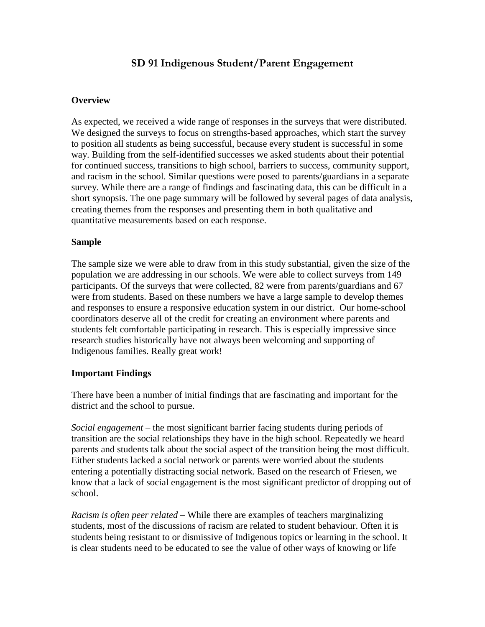# **SD 91 Indigenous Student/Parent Engagement**

# **Overview**

As expected, we received a wide range of responses in the surveys that were distributed. We designed the surveys to focus on strengths-based approaches, which start the survey to position all students as being successful, because every student is successful in some way. Building from the self-identified successes we asked students about their potential for continued success, transitions to high school, barriers to success, community support, and racism in the school. Similar questions were posed to parents/guardians in a separate survey. While there are a range of findings and fascinating data, this can be difficult in a short synopsis. The one page summary will be followed by several pages of data analysis, creating themes from the responses and presenting them in both qualitative and quantitative measurements based on each response.

### **Sample**

The sample size we were able to draw from in this study substantial, given the size of the population we are addressing in our schools. We were able to collect surveys from 149 participants. Of the surveys that were collected, 82 were from parents/guardians and 67 were from students. Based on these numbers we have a large sample to develop themes and responses to ensure a responsive education system in our district. Our home-school coordinators deserve all of the credit for creating an environment where parents and students felt comfortable participating in research. This is especially impressive since research studies historically have not always been welcoming and supporting of Indigenous families. Really great work!

### **Important Findings**

There have been a number of initial findings that are fascinating and important for the district and the school to pursue.

*Social engagement* – the most significant barrier facing students during periods of transition are the social relationships they have in the high school. Repeatedly we heard parents and students talk about the social aspect of the transition being the most difficult. Either students lacked a social network or parents were worried about the students entering a potentially distracting social network. Based on the research of Friesen, we know that a lack of social engagement is the most significant predictor of dropping out of school.

*Racism is often peer related* **–** While there are examples of teachers marginalizing students, most of the discussions of racism are related to student behaviour. Often it is students being resistant to or dismissive of Indigenous topics or learning in the school. It is clear students need to be educated to see the value of other ways of knowing or life